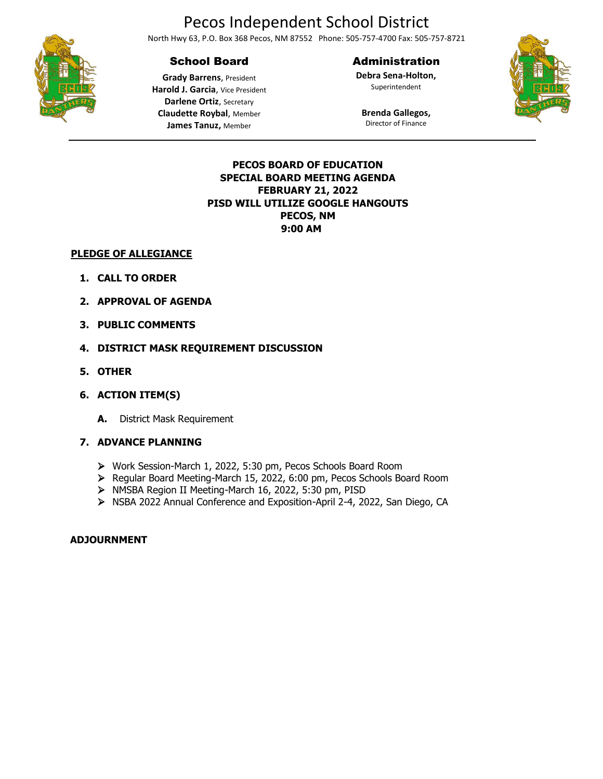# Pecos Independent School District

North Hwy 63, P.O. Box 368 Pecos, NM 87552 Phone: 505-757-4700 Fax: 505-757-8721

## School Board

#### Administration

Superintendent





**Grady Barrens**, President **Harold J. Garcia**, Vice President **Darlene Ortiz**, Secretary **Claudette Roybal**, Member **James Tanuz,** Member

## **Brenda Gallegos,** Director of Finance

### **PECOS BOARD OF EDUCATION SPECIAL BOARD MEETING AGENDA FEBRUARY 21, 2022 PISD WILL UTILIZE GOOGLE HANGOUTS PECOS, NM 9:00 AM**

#### **PLEDGE OF ALLEGIANCE**

- **1. CALL TO ORDER**
- **2. APPROVAL OF AGENDA**
- **3. PUBLIC COMMENTS**
- **4. DISTRICT MASK REQUIREMENT DISCUSSION**
- **5. OTHER**
- **6. ACTION ITEM(S)**
	- **A.** District Mask Requirement

### **7. ADVANCE PLANNING**

- ➢ Work Session-March 1, 2022, 5:30 pm, Pecos Schools Board Room
- ➢ Regular Board Meeting-March 15, 2022, 6:00 pm, Pecos Schools Board Room
- ➢ NMSBA Region II Meeting-March 16, 2022, 5:30 pm, PISD
- ➢ NSBA 2022 Annual Conference and Exposition-April 2-4, 2022, San Diego, CA

### **ADJOURNMENT**

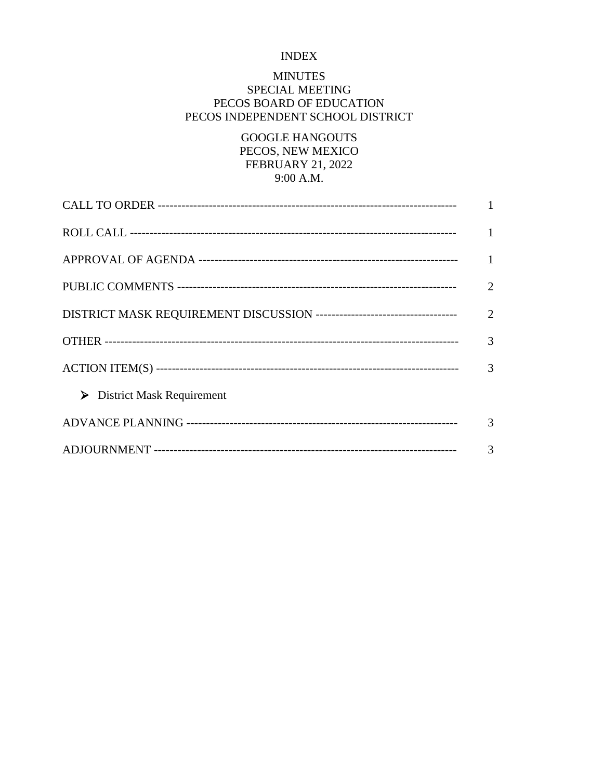## INDEX

## MINUTES

## SPECIAL MEETING PECOS BOARD OF EDUCATION PECOS INDEPENDENT SCHOOL DISTRICT

GOOGLE HANGOUTS PECOS, NEW MEXICO FEBRUARY 21, 2022 9:00 A.M.

|                                            | $\overline{1}$ |
|--------------------------------------------|----------------|
|                                            | $\overline{1}$ |
|                                            | 2              |
|                                            |                |
|                                            | 3              |
|                                            |                |
| $\triangleright$ District Mask Requirement |                |
|                                            | 3              |
|                                            | 3              |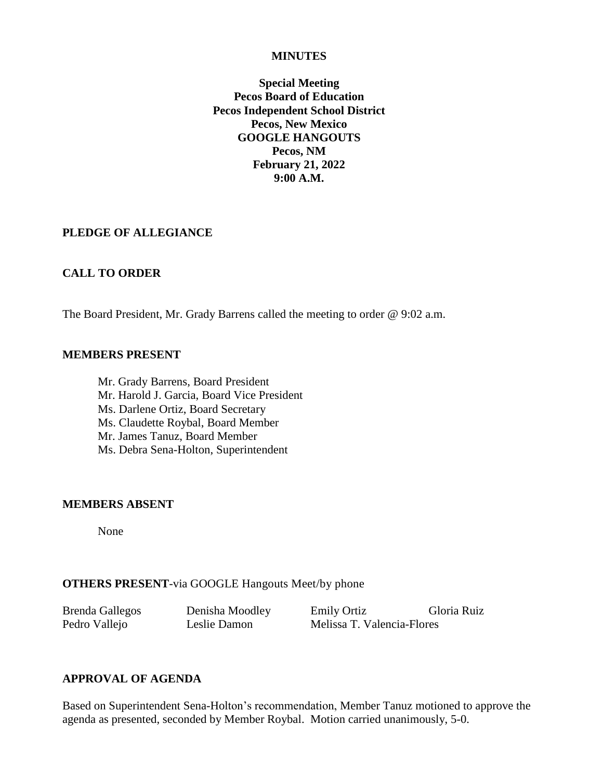#### **MINUTES**

**Special Meeting Pecos Board of Education Pecos Independent School District Pecos, New Mexico GOOGLE HANGOUTS Pecos, NM February 21, 2022 9:00 A.M.**

### **PLEDGE OF ALLEGIANCE**

## **CALL TO ORDER**

The Board President, Mr. Grady Barrens called the meeting to order @ 9:02 a.m.

#### **MEMBERS PRESENT**

Mr. Grady Barrens, Board President Mr. Harold J. Garcia, Board Vice President Ms. Darlene Ortiz, Board Secretary Ms. Claudette Roybal, Board Member Mr. James Tanuz, Board Member Ms. Debra Sena-Holton, Superintendent

#### **MEMBERS ABSENT**

None

### **OTHERS PRESENT**-via GOOGLE [Hangouts Meet/](https://meet.google.com/aox-kzjr-xbn?hs=122)[by phone](tel:+1-708-762-8061)

Brenda Gallegos Denisha Moodley Emily Ortiz Gloria Ruiz Pedro Vallejo Leslie Damon Melissa T. Valencia-Flores

## **APPROVAL OF AGENDA**

Based on Superintendent Sena-Holton's recommendation, Member Tanuz motioned to approve the agenda as presented, seconded by Member Roybal. Motion carried unanimously, 5-0.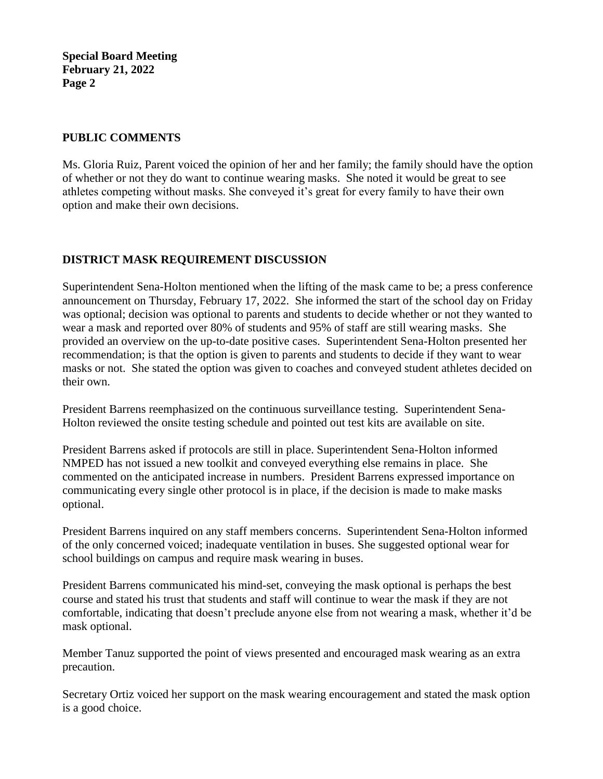**Special Board Meeting February 21, 2022 Page 2**

## **PUBLIC COMMENTS**

Ms. Gloria Ruiz, Parent voiced the opinion of her and her family; the family should have the option of whether or not they do want to continue wearing masks. She noted it would be great to see athletes competing without masks. She conveyed it's great for every family to have their own option and make their own decisions.

## **DISTRICT MASK REQUIREMENT DISCUSSION**

Superintendent Sena-Holton mentioned when the lifting of the mask came to be; a press conference announcement on Thursday, February 17, 2022. She informed the start of the school day on Friday was optional; decision was optional to parents and students to decide whether or not they wanted to wear a mask and reported over 80% of students and 95% of staff are still wearing masks. She provided an overview on the up-to-date positive cases. Superintendent Sena-Holton presented her recommendation; is that the option is given to parents and students to decide if they want to wear masks or not. She stated the option was given to coaches and conveyed student athletes decided on their own.

President Barrens reemphasized on the continuous surveillance testing. Superintendent Sena-Holton reviewed the onsite testing schedule and pointed out test kits are available on site.

President Barrens asked if protocols are still in place. Superintendent Sena-Holton informed NMPED has not issued a new toolkit and conveyed everything else remains in place. She commented on the anticipated increase in numbers. President Barrens expressed importance on communicating every single other protocol is in place, if the decision is made to make masks optional.

President Barrens inquired on any staff members concerns. Superintendent Sena-Holton informed of the only concerned voiced; inadequate ventilation in buses. She suggested optional wear for school buildings on campus and require mask wearing in buses.

President Barrens communicated his mind-set, conveying the mask optional is perhaps the best course and stated his trust that students and staff will continue to wear the mask if they are not comfortable, indicating that doesn't preclude anyone else from not wearing a mask, whether it'd be mask optional.

Member Tanuz supported the point of views presented and encouraged mask wearing as an extra precaution.

Secretary Ortiz voiced her support on the mask wearing encouragement and stated the mask option is a good choice.